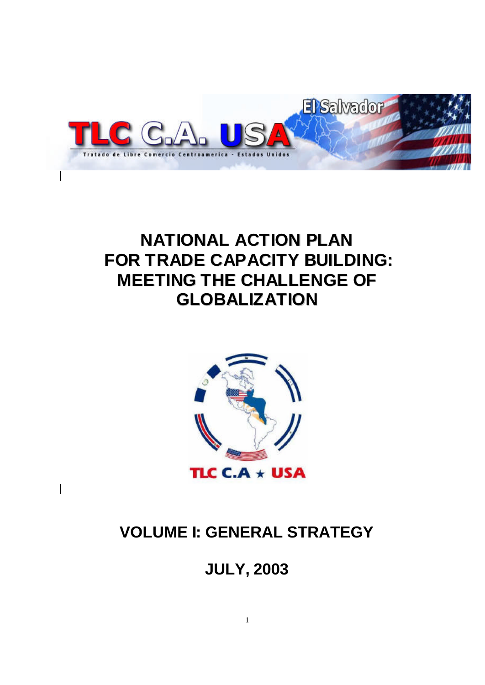

# **NATIONAL ACTION PLAN FOR TRADE CAPACITY BUILDING: MEETING THE CHALLENGE OF GLOBALIZATION**



# **VOLUME I: GENERAL STRATEGY**

 $\overline{1}$ 

# **JULY, 2003**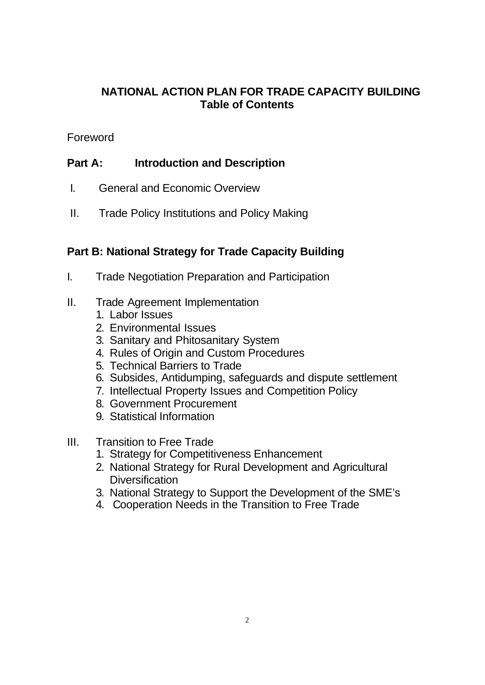# **NATIONAL ACTION PLAN FOR TRADE CAPACITY BUILDING Table of Contents**

# Foreword

# **Part A: Introduction and Description**

- I. General and Economic Overview
- II. Trade Policy Institutions and Policy Making

# **Part B: National Strategy for Trade Capacity Building**

- I. Trade Negotiation Preparation and Participation
- II. Trade Agreement Implementation
	- 1. Labor Issues
	- 2. Environmental Issues
	- 3. Sanitary and Phitosanitary System
	- 4. Rules of Origin and Custom Procedures
	- 5. Technical Barriers to Trade
	- 6. Subsides, Antidumping, safeguards and dispute settlement
	- 7. Intellectual Property Issues and Competition Policy
	- 8. Government Procurement
	- 9. Statistical Information
- III. Transition to Free Trade
	- 1. Strategy for Competitiveness Enhancement
	- 2. National Strategy for Rural Development and Agricultural **Diversification**
	- 3. National Strategy to Support the Development of the SME's
	- 4. Cooperation Needs in the Transition to Free Trade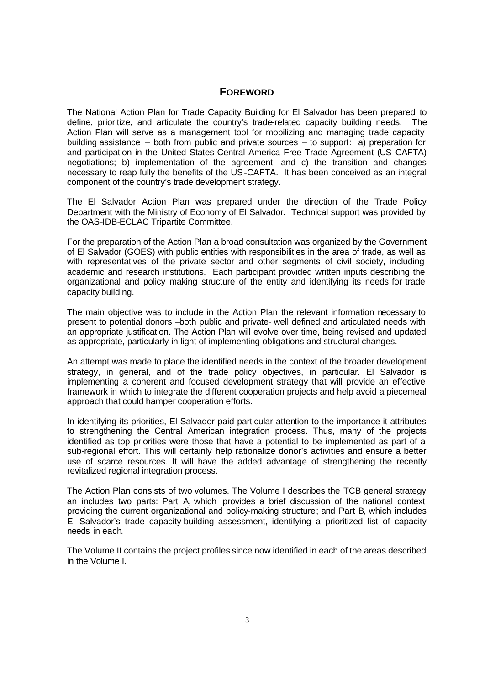## **FOREWORD**

The National Action Plan for Trade Capacity Building for El Salvador has been prepared to define, prioritize, and articulate the country's trade-related capacity building needs. The Action Plan will serve as a management tool for mobilizing and managing trade capacity building assistance – both from public and private sources – to support: a) preparation for and participation in the United States-Central America Free Trade Agreement (US-CAFTA) negotiations; b) implementation of the agreement; and c) the transition and changes necessary to reap fully the benefits of the US-CAFTA. It has been conceived as an integral component of the country's trade development strategy.

The El Salvador Action Plan was prepared under the direction of the Trade Policy Department with the Ministry of Economy of El Salvador. Technical support was provided by the OAS-IDB-ECLAC Tripartite Committee.

For the preparation of the Action Plan a broad consultation was organized by the Government of El Salvador (GOES) with public entities with responsibilities in the area of trade, as well as with representatives of the private sector and other segments of civil society, including academic and research institutions. Each participant provided written inputs describing the organizational and policy making structure of the entity and identifying its needs for trade capacity building.

The main objective was to include in the Action Plan the relevant information necessary to present to potential donors –both public and private- well defined and articulated needs with an appropriate justification. The Action Plan will evolve over time, being revised and updated as appropriate, particularly in light of implementing obligations and structural changes.

An attempt was made to place the identified needs in the context of the broader development strategy, in general, and of the trade policy objectives, in particular. El Salvador is implementing a coherent and focused development strategy that will provide an effective framework in which to integrate the different cooperation projects and help avoid a piecemeal approach that could hamper cooperation efforts.

In identifying its priorities, El Salvador paid particular attention to the importance it attributes to strengthening the Central American integration process. Thus, many of the projects identified as top priorities were those that have a potential to be implemented as part of a sub-regional effort. This will certainly help rationalize donor's activities and ensure a better use of scarce resources. It will have the added advantage of strengthening the recently revitalized regional integration process.

The Action Plan consists of two volumes. The Volume I describes the TCB general strategy an includes two parts: Part A, which provides a brief discussion of the national context providing the current organizational and policy-making structure; and Part B, which includes El Salvador's trade capacity-building assessment, identifying a prioritized list of capacity needs in each.

The Volume II contains the project profiles since now identified in each of the areas described in the Volume I.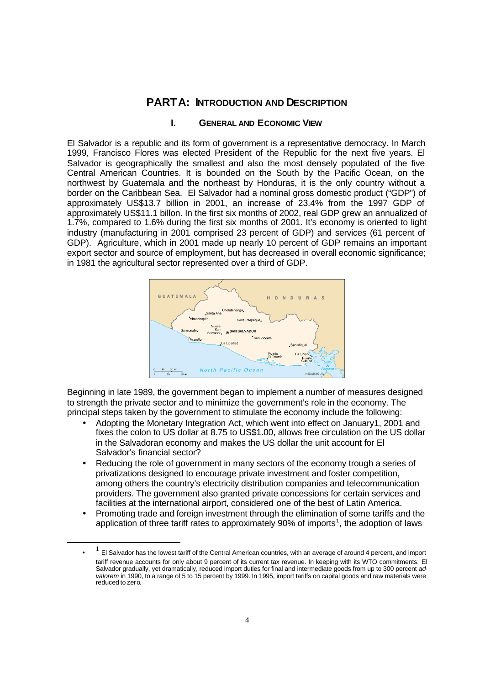# **PARTA: INTRODUCTION AND DESCRIPTION**

#### **I. GENERAL AND ECONOMIC VIEW**

El Salvador is a republic and its form of government is a representative democracy. In March 1999, Francisco Flores was elected President of the Republic for the next five years. El Salvador is geographically the smallest and also the most densely populated of the five Central American Countries. It is bounded on the South by the Pacific Ocean, on the northwest by Guatemala and the northeast by Honduras, it is the only country without a border on the Caribbean Sea. El Salvador had a nominal gross domestic product ("GDP") of approximately US\$13.7 billion in 2001, an increase of 23.4% from the 1997 GDP of approximately US\$11.1 billon. In the first six months of 2002, real GDP grew an annualized of 1.7%, compared to 1.6% during the first six months of 2001. It's economy is oriented to light industry (manufacturing in 2001 comprised 23 percent of GDP) and services (61 percent of GDP). Agriculture, which in 2001 made up nearly 10 percent of GDP remains an important export sector and source of employment, but has decreased in overall economic significance; in 1981 the agricultural sector represented over a third of GDP.



Beginning in late 1989, the government began to implement a number of measures designed to strength the private sector and to minimize the government's role in the economy. The principal steps taken by the government to stimulate the economy include the following:

- Adopting the Monetary Integration Act, which went into effect on January1, 2001 and fixes the colon to US dollar at 8.75 to US\$1.00, allows free circulation on the US dollar in the Salvadoran economy and makes the US dollar the unit account for El Salvador's financial sector?
- Reducing the role of government in many sectors of the economy trough a series of privatizations designed to encourage private investment and foster competition, among others the country's electricity distribution companies and telecommunication providers. The government also granted private concessions for certain services and facilities at the international airport, considered one of the best of Latin America.
- Promoting trade and foreign investment through the elimination of some tariffs and the application of three tariff rates to approximately 90% of imports<sup>1</sup>, the adoption of laws

<sup>•</sup> 1 El Salvador has the lowest tariff of the Central American countries, with an average of around 4 percent, and import tariff revenue accounts for only about 9 percent of its current tax revenue. In keeping with its WTO commitments, El Salvador gradually, yet dramatically, reduced import duties for final and intermediate goods from up to 300 percent *advalorem* in 1990, to a range of 5 to 15 percent by 1999. In 1995, import tariffs on capital goods and raw materials were reduced to zero.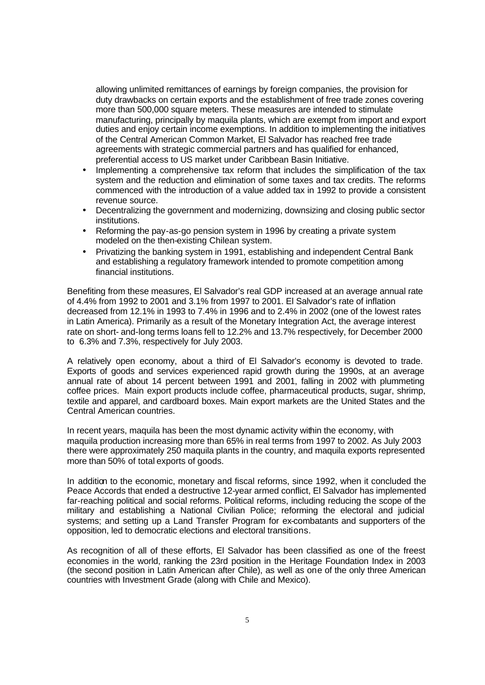allowing unlimited remittances of earnings by foreign companies, the provision for duty drawbacks on certain exports and the establishment of free trade zones covering more than 500,000 square meters. These measures are intended to stimulate manufacturing, principally by maquila plants, which are exempt from import and export duties and enjoy certain income exemptions. In addition to implementing the initiatives of the Central American Common Market, El Salvador has reached free trade agreements with strategic commercial partners and has qualified for enhanced, preferential access to US market under Caribbean Basin Initiative.

- Implementing a comprehensive tax reform that includes the simplification of the tax system and the reduction and elimination of some taxes and tax credits. The reforms commenced with the introduction of a value added tax in 1992 to provide a consistent revenue source.
- Decentralizing the government and modernizing, downsizing and closing public sector institutions.
- Reforming the pay-as-go pension system in 1996 by creating a private system modeled on the then-existing Chilean system.
- Privatizing the banking system in 1991, establishing and independent Central Bank and establishing a regulatory framework intended to promote competition among financial institutions.

Benefiting from these measures, El Salvador's real GDP increased at an average annual rate of 4.4% from 1992 to 2001 and 3.1% from 1997 to 2001. El Salvador's rate of inflation decreased from 12.1% in 1993 to 7.4% in 1996 and to 2.4% in 2002 (one of the lowest rates in Latin America). Primarily as a result of the Monetary Integration Act, the average interest rate on short- and-long terms loans fell to 12.2% and 13.7% respectively, for December 2000 to 6.3% and 7.3%, respectively for July 2003.

A relatively open economy, about a third of El Salvador's economy is devoted to trade. Exports of goods and services experienced rapid growth during the 1990s, at an average annual rate of about 14 percent between 1991 and 2001, falling in 2002 with plummeting coffee prices. Main export products include coffee, pharmaceutical products, sugar, shrimp, textile and apparel, and cardboard boxes. Main export markets are the United States and the Central American countries.

In recent years, maquila has been the most dynamic activity within the economy, with maquila production increasing more than 65% in real terms from 1997 to 2002. As July 2003 there were approximately 250 maquila plants in the country, and maquila exports represented more than 50% of total exports of goods.

In addition to the economic, monetary and fiscal reforms, since 1992, when it concluded the Peace Accords that ended a destructive 12-year armed conflict, El Salvador has implemented far-reaching political and social reforms. Political reforms, including reducing the scope of the military and establishing a National Civilian Police; reforming the electoral and judicial systems; and setting up a Land Transfer Program for ex-combatants and supporters of the opposition, led to democratic elections and electoral transitions.

As recognition of all of these efforts, El Salvador has been classified as one of the freest economies in the world, ranking the 23rd position in the Heritage Foundation Index in 2003 (the second position in Latin American after Chile), as well as one of the only three American countries with Investment Grade (along with Chile and Mexico).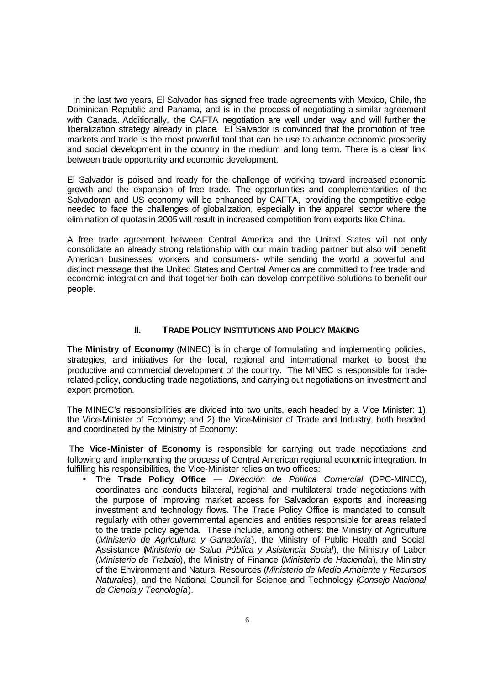In the last two years, El Salvador has signed free trade agreements with Mexico, Chile, the Dominican Republic and Panama, and is in the process of negotiating a similar agreement with Canada. Additionally, the CAFTA negotiation are well under way and will further the liberalization strategy already in place. El Salvador is convinced that the promotion of free markets and trade is the most powerful tool that can be use to advance economic prosperity and social development in the country in the medium and long term. There is a clear link between trade opportunity and economic development.

El Salvador is poised and ready for the challenge of working toward increased economic growth and the expansion of free trade. The opportunities and complementarities of the Salvadoran and US economy will be enhanced by CAFTA, providing the competitive edge needed to face the challenges of globalization, especially in the apparel sector where the elimination of quotas in 2005 will result in increased competition from exports like China.

A free trade agreement between Central America and the United States will not only consolidate an already strong relationship with our main trading partner but also will benefit American businesses, workers and consumers- while sending the world a powerful and distinct message that the United States and Central America are committed to free trade and economic integration and that together both can develop competitive solutions to benefit our people.

#### **II. TRADE POLICY INSTITUTIONS AND POLICY MAKING**

The **Ministry of Economy** (MINEC) is in charge of formulating and implementing policies, strategies, and initiatives for the local, regional and international market to boost the productive and commercial development of the country. The MINEC is responsible for traderelated policy, conducting trade negotiations, and carrying out negotiations on investment and export promotion.

The MINEC's responsibilities are divided into two units, each headed by a Vice Minister: 1) the Vice-Minister of Economy; and 2) the Vice-Minister of Trade and Industry, both headed and coordinated by the Ministry of Economy:

 The **Vice-Minister of Economy** is responsible for carrying out trade negotiations and following and implementing the process of Central American regional economic integration. In fulfilling his responsibilities, the Vice-Minister relies on two offices:

• The **Trade Policy Office** — *Dirección de Politica Comercial* (DPC-MINEC), coordinates and conducts bilateral, regional and multilateral trade negotiations with the purpose of improving market access for Salvadoran exports and increasing investment and technology flows. The Trade Policy Office is mandated to consult regularly with other governmental agencies and entities responsible for areas related to the trade policy agenda. These include, among others: the Ministry of Agriculture (*Ministerio de Agricultura y Ganadería*), the Ministry of Public Health and Social Assistance (*Ministerio de Salud Pública y Asistencia Social*), the Ministry of Labor (*Ministerio de Trabajo*), the Ministry of Finance (*Ministerio de Hacienda*), the Ministry of the Environment and Natural Resources (*Ministerio de Medio Ambiente y Recursos Naturales*), and the National Council for Science and Technology (*Consejo Nacional de Ciencia y Tecnología*).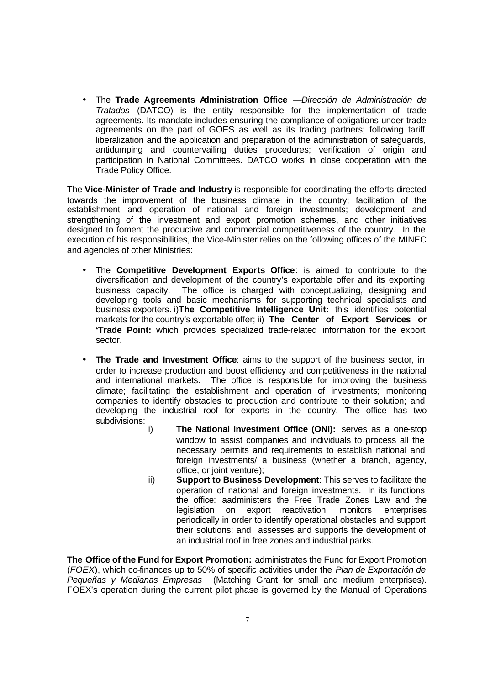• The **Trade Agreements Administration Office** —*Dirección de Administración de Tratados* (DATCO) is the entity responsible for the implementation of trade agreements. Its mandate includes ensuring the compliance of obligations under trade agreements on the part of GOES as well as its trading partners; following tariff liberalization and the application and preparation of the administration of safeguards, antidumping and countervailing duties procedures; verification of origin and participation in National Committees. DATCO works in close cooperation with the Trade Policy Office.

The **Vice-Minister of Trade and Industry** is responsible for coordinating the efforts directed towards the improvement of the business climate in the country; facilitation of the establishment and operation of national and foreign investments; development and strengthening of the investment and export promotion schemes, and other initiatives designed to foment the productive and commercial competitiveness of the country. In the execution of his responsibilities, the Vice-Minister relies on the following offices of the MINEC and agencies of other Ministries:

- The **Competitive Development Exports Office**: is aimed to contribute to the diversification and development of the country's exportable offer and its exporting business capacity. The office is charged with conceptualizing, designing and developing tools and basic mechanisms for supporting technical specialists and business exporters. i)**The Competitive Intelligence Unit:** this identifies potential markets for the country's exportable offer; ii) **The Center of Export Services or 'Trade Point:** which provides specialized trade-related information for the export sector.
- **The Trade and Investment Office**: aims to the support of the business sector, in order to increase production and boost efficiency and competitiveness in the national and international markets. The office is responsible for improving the business climate; facilitating the establishment and operation of investments; monitoring companies to identify obstacles to production and contribute to their solution; and developing the industrial roof for exports in the country. The office has two subdivisions:
	- i) **The National Investment Office (ONI):** serves as a one-stop window to assist companies and individuals to process all the necessary permits and requirements to establish national and foreign investments/ a business (whether a branch, agency, office, or joint venture);
	- ii) **Support to Business Development**: This serves to facilitate the operation of national and foreign investments. In its functions the office: aadministers the Free Trade Zones Law and the legislation on export reactivation; monitors enterprises periodically in order to identify operational obstacles and support their solutions; and assesses and supports the development of an industrial roof in free zones and industrial parks.

**The Office of the Fund for Export Promotion:** administrates the Fund for Export Promotion (*FOEX*), which co-finances up to 50% of specific activities under the *Plan de Exportación de Pequeñas y Medianas Empresas* (Matching Grant for small and medium enterprises). FOEX's operation during the current pilot phase is governed by the Manual of Operations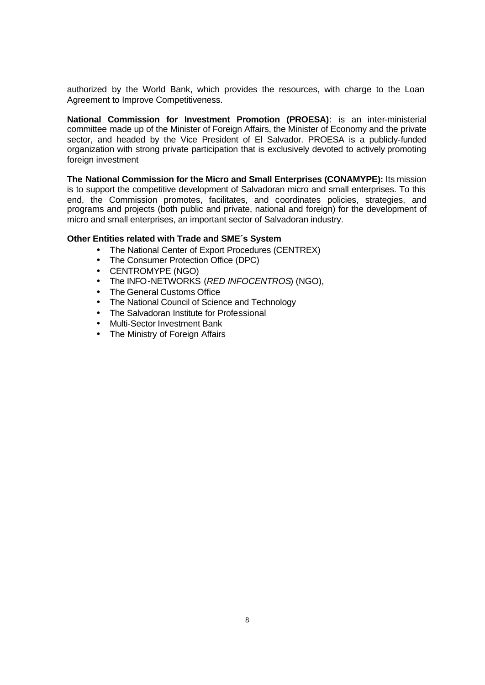authorized by the World Bank, which provides the resources, with charge to the Loan Agreement to Improve Competitiveness.

**National Commission for Investment Promotion (PROESA)**: is an inter-ministerial committee made up of the Minister of Foreign Affairs, the Minister of Economy and the private sector, and headed by the Vice President of El Salvador. PROESA is a publicly-funded organization with strong private participation that is exclusively devoted to actively promoting foreign investment

**The National Commission for the Micro and Small Enterprises (CONAMYPE):** Its mission is to support the competitive development of Salvadoran micro and small enterprises. To this end, the Commission promotes, facilitates, and coordinates policies, strategies, and programs and projects (both public and private, national and foreign) for the development of micro and small enterprises, an important sector of Salvadoran industry.

#### **Other Entities related with Trade and SME´s System**

- The National Center of Export Procedures (CENTREX)
- The Consumer Protection Office (DPC)
- CENTROMYPE (NGO)
- The INFO-NETWORKS (*RED INFOCENTROS*) (NGO),
- The General Customs Office
- The National Council of Science and Technology
- The Salvadoran Institute for Professional
- Multi-Sector Investment Bank
- The Ministry of Foreign Affairs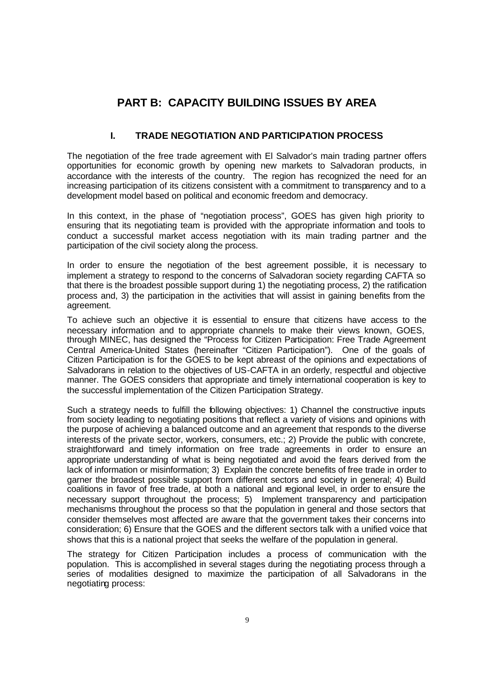# **PART B: CAPACITY BUILDING ISSUES BY AREA**

# **I. TRADE NEGOTIATION AND PARTICIPATION PROCESS**

The negotiation of the free trade agreement with El Salvador's main trading partner offers opportunities for economic growth by opening new markets to Salvadoran products, in accordance with the interests of the country. The region has recognized the need for an increasing participation of its citizens consistent with a commitment to transparency and to a development model based on political and economic freedom and democracy.

In this context, in the phase of "negotiation process", GOES has given high priority to ensuring that its negotiating team is provided with the appropriate information and tools to conduct a successful market access negotiation with its main trading partner and the participation of the civil society along the process.

In order to ensure the negotiation of the best agreement possible, it is necessary to implement a strategy to respond to the concerns of Salvadoran society regarding CAFTA so that there is the broadest possible support during 1) the negotiating process, 2) the ratification process and, 3) the participation in the activities that will assist in gaining benefits from the agreement.

To achieve such an objective it is essential to ensure that citizens have access to the necessary information and to appropriate channels to make their views known, GOES, through MINEC, has designed the "Process for Citizen Participation: Free Trade Agreement Central America-United States (hereinafter "Citizen Participation"). One of the goals of Citizen Participation is for the GOES to be kept abreast of the opinions and expectations of Salvadorans in relation to the objectives of US-CAFTA in an orderly, respectful and objective manner. The GOES considers that appropriate and timely international cooperation is key to the successful implementation of the Citizen Participation Strategy.

Such a strategy needs to fulfill the following objectives: 1) Channel the constructive inputs from society leading to negotiating positions that reflect a variety of visions and opinions with the purpose of achieving a balanced outcome and an agreement that responds to the diverse interests of the private sector, workers, consumers, etc.; 2) Provide the public with concrete, straightforward and timely information on free trade agreements in order to ensure an appropriate understanding of what is being negotiated and avoid the fears derived from the lack of information or misinformation; 3) Explain the concrete benefits of free trade in order to garner the broadest possible support from different sectors and society in general; 4) Build coalitions in favor of free trade, at both a national and regional level, in order to ensure the necessary support throughout the process; 5) Implement transparency and participation mechanisms throughout the process so that the population in general and those sectors that consider themselves most affected are aware that the government takes their concerns into consideration; 6) Ensure that the GOES and the different sectors talk with a unified voice that shows that this is a national project that seeks the welfare of the population in general.

The strategy for Citizen Participation includes a process of communication with the population. This is accomplished in several stages during the negotiating process through a series of modalities designed to maximize the participation of all Salvadorans in the negotiating process: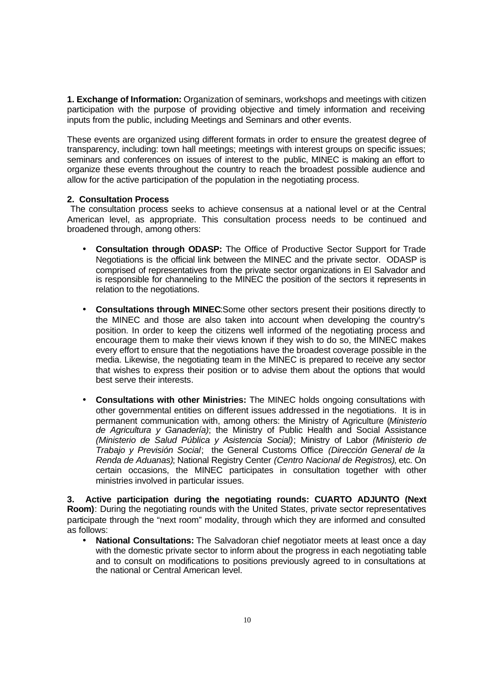**1. Exchange of Information:** Organization of seminars, workshops and meetings with citizen participation with the purpose of providing objective and timely information and receiving inputs from the public, including Meetings and Seminars and other events.

These events are organized using different formats in order to ensure the greatest degree of transparency, including: town hall meetings; meetings with interest groups on specific issues; seminars and conferences on issues of interest to the public, MINEC is making an effort to organize these events throughout the country to reach the broadest possible audience and allow for the active participation of the population in the negotiating process.

#### **2. Consultation Process**

 The consultation process seeks to achieve consensus at a national level or at the Central American level, as appropriate. This consultation process needs to be continued and broadened through, among others:

- **Consultation through ODASP:** The Office of Productive Sector Support for Trade Negotiations is the official link between the MINEC and the private sector. ODASP is comprised of representatives from the private sector organizations in El Salvador and is responsible for channeling to the MINEC the position of the sectors it represents in relation to the negotiations.
- **Consultations through MINEC**:Some other sectors present their positions directly to the MINEC and those are also taken into account when developing the country's position. In order to keep the citizens well informed of the negotiating process and encourage them to make their views known if they wish to do so, the MINEC makes every effort to ensure that the negotiations have the broadest coverage possible in the media. Likewise, the negotiating team in the MINEC is prepared to receive any sector that wishes to express their position or to advise them about the options that would best serve their interests.
- **Consultations with other Ministries:** The MINEC holds ongoing consultations with other governmental entities on different issues addressed in the negotiations. It is in permanent communication with, among others: the Ministry of Agriculture (*Ministerio de Agricultura y Ganadería)*; the Ministry of Public Health and Social Assistance *(Ministerio de Salud Pública y Asistencia Social)*; Ministry of Labor *(Ministerio de Trabajo y Previsión Social*; the General Customs Office *(Dirección General de la Renda de Aduanas)*; National Registry Center *(Centro Nacional de Registros)*, etc. On certain occasions, the MINEC participates in consultation together with other ministries involved in particular issues.

**3. Active participation during the negotiating rounds: CUARTO ADJUNTO (Next Room)**: During the negotiating rounds with the United States, private sector representatives participate through the "next room" modality, through which they are informed and consulted as follows:

• **National Consultations:** The Salvadoran chief negotiator meets at least once a day with the domestic private sector to inform about the progress in each negotiating table and to consult on modifications to positions previously agreed to in consultations at the national or Central American level.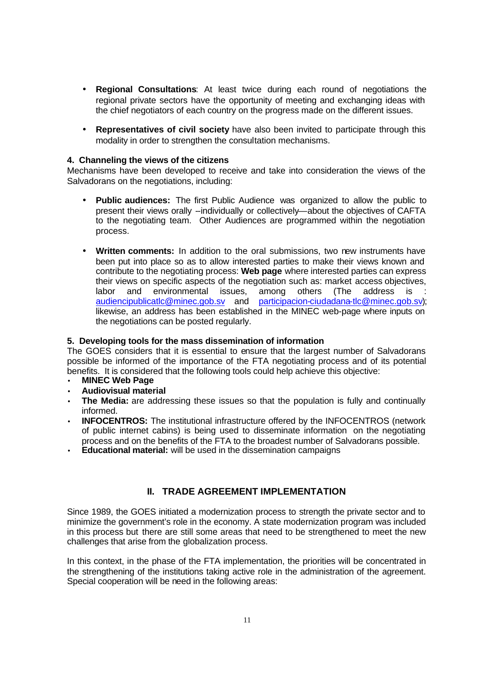- **Regional Consultations**: At least twice during each round of negotiations the regional private sectors have the opportunity of meeting and exchanging ideas with the chief negotiators of each country on the progress made on the different issues.
- **Representatives of civil society** have also been invited to participate through this modality in order to strengthen the consultation mechanisms.

#### **4. Channeling the views of the citizens**

Mechanisms have been developed to receive and take into consideration the views of the Salvadorans on the negotiations, including:

- **Public audiences:** The first Public Audience was organized to allow the public to present their views orally --individually or collectively—about the objectives of CAFTA to the negotiating team. Other Audiences are programmed within the negotiation process.
- **Written comments:** In addition to the oral submissions, two new instruments have been put into place so as to allow interested parties to make their views known and contribute to the negotiating process: **Web page** where interested parties can express their views on specific aspects of the negotiation such as: market access objectives, labor and environmental issues, among others (The address is audiencipublicatlc@minec.gob.sv and participacion-ciudadana-tlc@minec.gob.sv); likewise, an address has been established in the MINEC web-page where inputs on the negotiations can be posted regularly.

#### **5. Developing tools for the mass dissemination of information**

The GOES considers that it is essential to ensure that the largest number of Salvadorans possible be informed of the importance of the FTA negotiating process and of its potential benefits. It is considered that the following tools could help achieve this objective:

- **MINEC Web Page**
- **Audiovisual material**
- **The Media:** are addressing these issues so that the population is fully and continually informed.
- **INFOCENTROS:** The institutional infrastructure offered by the INFOCENTROS (network of public internet cabins) is being used to disseminate information on the negotiating process and on the benefits of the FTA to the broadest number of Salvadorans possible.
- **Educational material:** will be used in the dissemination campaigns

## **II. TRADE AGREEMENT IMPLEMENTATION**

Since 1989, the GOES initiated a modernization process to strength the private sector and to minimize the government's role in the economy. A state modernization program was included in this process but there are still some areas that need to be strengthened to meet the new challenges that arise from the globalization process.

In this context, in the phase of the FTA implementation, the priorities will be concentrated in the strengthening of the institutions taking active role in the administration of the agreement. Special cooperation will be need in the following areas: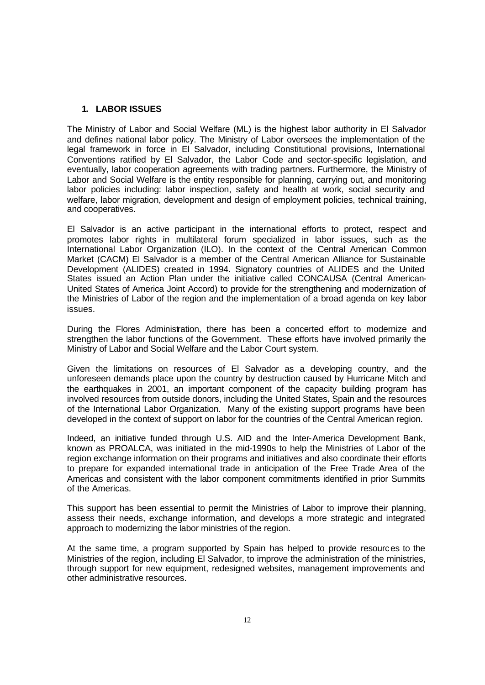#### **1. LABOR ISSUES**

The Ministry of Labor and Social Welfare (ML) is the highest labor authority in El Salvador and defines national labor policy. The Ministry of Labor oversees the implementation of the legal framework in force in El Salvador, including Constitutional provisions, International Conventions ratified by El Salvador, the Labor Code and sector-specific legislation, and eventually, labor cooperation agreements with trading partners. Furthermore, the Ministry of Labor and Social Welfare is the entity responsible for planning, carrying out, and monitoring labor policies including: labor inspection, safety and health at work, social security and welfare, labor migration, development and design of employment policies, technical training, and cooperatives.

El Salvador is an active participant in the international efforts to protect, respect and promotes labor rights in multilateral forum specialized in labor issues, such as the International Labor Organization (ILO). In the context of the Central American Common Market (CACM) El Salvador is a member of the Central American Alliance for Sustainable Development (ALIDES) created in 1994. Signatory countries of ALIDES and the United States issued an Action Plan under the initiative called CONCAUSA (Central American-United States of America Joint Accord) to provide for the strengthening and modernization of the Ministries of Labor of the region and the implementation of a broad agenda on key labor issues.

During the Flores Administration, there has been a concerted effort to modernize and strengthen the labor functions of the Government. These efforts have involved primarily the Ministry of Labor and Social Welfare and the Labor Court system.

Given the limitations on resources of El Salvador as a developing country, and the unforeseen demands place upon the country by destruction caused by Hurricane Mitch and the earthquakes in 2001, an important component of the capacity building program has involved resources from outside donors, including the United States, Spain and the resources of the International Labor Organization. Many of the existing support programs have been developed in the context of support on labor for the countries of the Central American region.

Indeed, an initiative funded through U.S. AID and the Inter-America Development Bank, known as PROALCA, was initiated in the mid-1990s to help the Ministries of Labor of the region exchange information on their programs and initiatives and also coordinate their efforts to prepare for expanded international trade in anticipation of the Free Trade Area of the Americas and consistent with the labor component commitments identified in prior Summits of the Americas.

This support has been essential to permit the Ministries of Labor to improve their planning, assess their needs, exchange information, and develops a more strategic and integrated approach to modernizing the labor ministries of the region.

At the same time, a program supported by Spain has helped to provide resources to the Ministries of the region, including El Salvador, to improve the administration of the ministries, through support for new equipment, redesigned websites, management improvements and other administrative resources.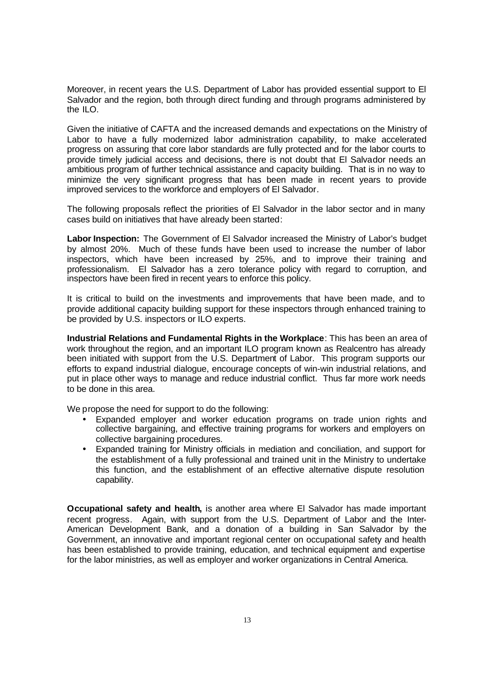Moreover, in recent years the U.S. Department of Labor has provided essential support to El Salvador and the region, both through direct funding and through programs administered by the ILO.

Given the initiative of CAFTA and the increased demands and expectations on the Ministry of Labor to have a fully modernized labor administration capability, to make accelerated progress on assuring that core labor standards are fully protected and for the labor courts to provide timely judicial access and decisions, there is not doubt that El Salvador needs an ambitious program of further technical assistance and capacity building. That is in no way to minimize the very significant progress that has been made in recent years to provide improved services to the workforce and employers of El Salvador.

The following proposals reflect the priorities of El Salvador in the labor sector and in many cases build on initiatives that have already been started:

**Labor Inspection:** The Government of El Salvador increased the Ministry of Labor's budget by almost 20%. Much of these funds have been used to increase the number of labor inspectors, which have been increased by 25%, and to improve their training and professionalism. El Salvador has a zero tolerance policy with regard to corruption, and inspectors have been fired in recent years to enforce this policy.

It is critical to build on the investments and improvements that have been made, and to provide additional capacity building support for these inspectors through enhanced training to be provided by U.S. inspectors or ILO experts.

**Industrial Relations and Fundamental Rights in the Workplace**: This has been an area of work throughout the region, and an important ILO program known as Realcentro has already been initiated with support from the U.S. Department of Labor. This program supports our efforts to expand industrial dialogue, encourage concepts of win-win industrial relations, and put in place other ways to manage and reduce industrial conflict. Thus far more work needs to be done in this area.

We propose the need for support to do the following:

- Expanded employer and worker education programs on trade union rights and collective bargaining, and effective training programs for workers and employers on collective bargaining procedures.
- Expanded training for Ministry officials in mediation and conciliation, and support for the establishment of a fully professional and trained unit in the Ministry to undertake this function, and the establishment of an effective alternative dispute resolution capability.

**Occupational safety and health,** is another area where El Salvador has made important recent progress. Again, with support from the U.S. Department of Labor and the Inter-American Development Bank, and a donation of a building in San Salvador by the Government, an innovative and important regional center on occupational safety and health has been established to provide training, education, and technical equipment and expertise for the labor ministries, as well as employer and worker organizations in Central America.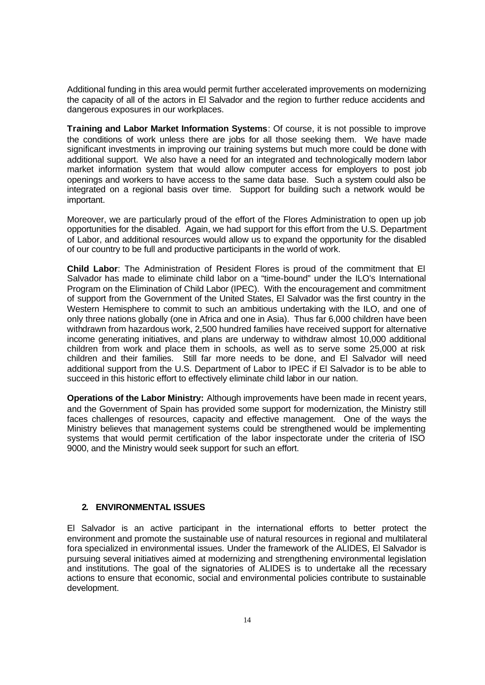Additional funding in this area would permit further accelerated improvements on modernizing the capacity of all of the actors in El Salvador and the region to further reduce accidents and dangerous exposures in our workplaces.

**Training and Labor Market Information Systems**: Of course, it is not possible to improve the conditions of work unless there are jobs for all those seeking them. We have made significant investments in improving our training systems but much more could be done with additional support. We also have a need for an integrated and technologically modern labor market information system that would allow computer access for employers to post job openings and workers to have access to the same data base. Such a system could also be integrated on a regional basis over time. Support for building such a network would be important.

Moreover, we are particularly proud of the effort of the Flores Administration to open up job opportunities for the disabled. Again, we had support for this effort from the U.S. Department of Labor, and additional resources would allow us to expand the opportunity for the disabled of our country to be full and productive participants in the world of work.

**Child Labor**: The Administration of President Flores is proud of the commitment that El Salvador has made to eliminate child labor on a "time-bound" under the ILO's International Program on the Elimination of Child Labor (IPEC). With the encouragement and commitment of support from the Government of the United States, El Salvador was the first country in the Western Hemisphere to commit to such an ambitious undertaking with the ILO, and one of only three nations globally (one in Africa and one in Asia). Thus far 6,000 children have been withdrawn from hazardous work, 2,500 hundred families have received support for alternative income generating initiatives, and plans are underway to withdraw almost 10,000 additional children from work and place them in schools, as well as to serve some 25,000 at risk children and their families. Still far more needs to be done, and El Salvador will need additional support from the U.S. Department of Labor to IPEC if El Salvador is to be able to succeed in this historic effort to effectively eliminate child labor in our nation.

**Operations of the Labor Ministry:** Although improvements have been made in recent years, and the Government of Spain has provided some support for modernization, the Ministry still faces challenges of resources, capacity and effective management. One of the ways the Ministry believes that management systems could be strengthened would be implementing systems that would permit certification of the labor inspectorate under the criteria of ISO 9000, and the Ministry would seek support for such an effort.

#### **2. ENVIRONMENTAL ISSUES**

El Salvador is an active participant in the international efforts to better protect the environment and promote the sustainable use of natural resources in regional and multilateral fora specialized in environmental issues. Under the framework of the ALIDES, El Salvador is pursuing several initiatives aimed at modernizing and strengthening environmental legislation and institutions. The goal of the signatories of ALIDES is to undertake all the necessary actions to ensure that economic, social and environmental policies contribute to sustainable development.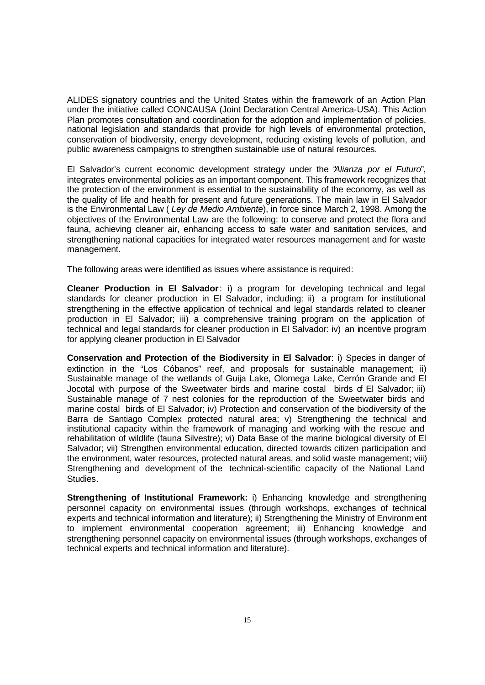ALIDES signatory countries and the United States within the framework of an Action Plan under the initiative called CONCAUSA (Joint Declaration Central America-USA). This Action Plan promotes consultation and coordination for the adoption and implementation of policies, national legislation and standards that provide for high levels of environmental protection, conservation of biodiversity, energy development, reducing existing levels of pollution, and public awareness campaigns to strengthen sustainable use of natural resources.

El Salvador's current economic development strategy under the "*Alianza por el Futuro*", integrates environmental policies as an important component. This framework recognizes that the protection of the environment is essential to the sustainability of the economy, as well as the quality of life and health for present and future generations. The main law in El Salvador is the Environmental Law ( *Ley de Medio Ambiente*), in force since March 2, 1998. Among the objectives of the Environmental Law are the following: to conserve and protect the flora and fauna, achieving cleaner air, enhancing access to safe water and sanitation services, and strengthening national capacities for integrated water resources management and for waste management.

The following areas were identified as issues where assistance is required:

**Cleaner Production in El Salvador**: i) a program for developing technical and legal standards for cleaner production in El Salvador, including: ii) a program for institutional strengthening in the effective application of technical and legal standards related to cleaner production in El Salvador; iii) a comprehensive training program on the application of technical and legal standards for cleaner production in El Salvador: iv) an incentive program for applying cleaner production in El Salvador

**Conservation and Protection of the Biodiversity in El Salvador**: i) Species in danger of extinction in the "Los Cóbanos" reef, and proposals for sustainable management; ii) Sustainable manage of the wetlands of Guija Lake, Olomega Lake, Cerrón Grande and El Jocotal with purpose of the Sweetwater birds and marine costal birds of El Salvador; iii) Sustainable manage of 7 nest colonies for the reproduction of the Sweetwater birds and marine costal birds of El Salvador; iv) Protection and conservation of the biodiversity of the Barra de Santiago Complex protected natural area; v) Strengthening the technical and institutional capacity within the framework of managing and working with the rescue and rehabilitation of wildlife (fauna Silvestre); vi) Data Base of the marine biological diversity of El Salvador; vii) Strengthen environmental education, directed towards citizen participation and the environment, water resources, protected natural areas, and solid waste management; viii) Strengthening and development of the technical-scientific capacity of the National Land Studies.

**Strengthening of Institutional Framework:** i) Enhancing knowledge and strengthening personnel capacity on environmental issues (through workshops, exchanges of technical experts and technical information and literature); ii) Strengthening the Ministry of Environment to implement environmental cooperation agreement; iii) Enhancing knowledge and strengthening personnel capacity on environmental issues (through workshops, exchanges of technical experts and technical information and literature).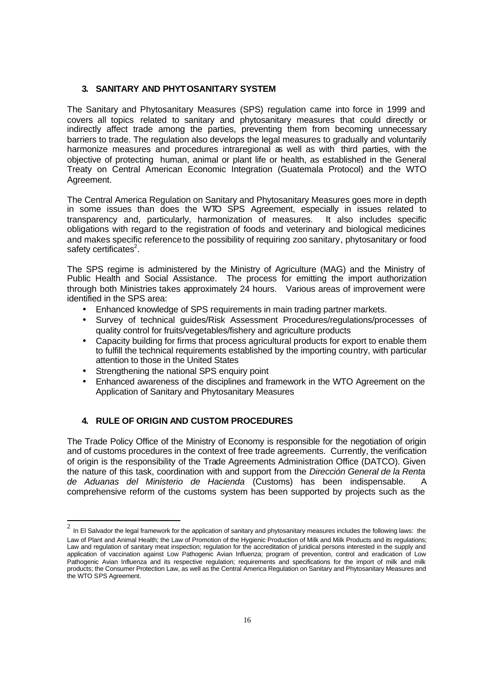#### **3. SANITARY AND PHYTOSANITARY SYSTEM**

The Sanitary and Phytosanitary Measures (SPS) regulation came into force in 1999 and covers all topics related to sanitary and phytosanitary measures that could directly or indirectly affect trade among the parties, preventing them from becoming unnecessary barriers to trade. The regulation also develops the legal measures to gradually and voluntarily harmonize measures and procedures intraregional as well as with third parties, with the objective of protecting human, animal or plant life or health, as established in the General Treaty on Central American Economic Integration (Guatemala Protocol) and the WTO Agreement.

The Central America Regulation on Sanitary and Phytosanitary Measures goes more in depth in some issues than does the WTO SPS Agreement, especially in issues related to transparency and, particularly, harmonization of measures. It also includes specific obligations with regard to the registration of foods and veterinary and biological medicines and makes specific reference to the possibility of requiring zoo sanitary, phytosanitary or food safety certificates<sup>2</sup>.

The SPS regime is administered by the Ministry of Agriculture (MAG) and the Ministry of Public Health and Social Assistance. The process for emitting the import authorization through both Ministries takes approximately 24 hours. Various areas of improvement were identified in the SPS area:

- Enhanced knowledge of SPS requirements in main trading partner markets.
- Survey of technical guides/Risk Assessment Procedures/regulations/processes of quality control for fruits/vegetables/fishery and agriculture products
- Capacity building for firms that process agricultural products for export to enable them to fulfill the technical requirements established by the importing country, with particular attention to those in the United States
- Strengthening the national SPS enquiry point
- Enhanced awareness of the disciplines and framework in the WTO Agreement on the Application of Sanitary and Phytosanitary Measures

#### **4. RULE OF ORIGIN AND CUSTOM PROCEDURES**

The Trade Policy Office of the Ministry of Economy is responsible for the negotiation of origin and of customs procedures in the context of free trade agreements. Currently, the verification of origin is the responsibility of the Trade Agreements Administration Office (DATCO). Given the nature of this task, coordination with and support from the *Dirección General de la Renta de Aduanas del Ministerio de Hacienda* (Customs) has been indispensable. A comprehensive reform of the customs system has been supported by projects such as the

 $\frac{2}{1}$  In El Salvador the legal framework for the application of sanitary and phytosanitary measures includes the following laws: the Law of Plant and Animal Health; the Law of Promotion of the Hygienic Production of Milk and Milk Products and its regulations; Law and regulation of sanitary meat inspection; regulation for the accreditation of juridical persons interested in the supply and application of vaccination against Low Pathogenic Avian Influenza; program of prevention, control and eradication of Low Pathogenic Avian Influenza and its respective regulation; requirements and specifications for the import of milk and milk products; the Consumer Protection Law, as well as the Central America Regulation on Sanitary and Phytosanitary Measures and the WTO SPS Agreement.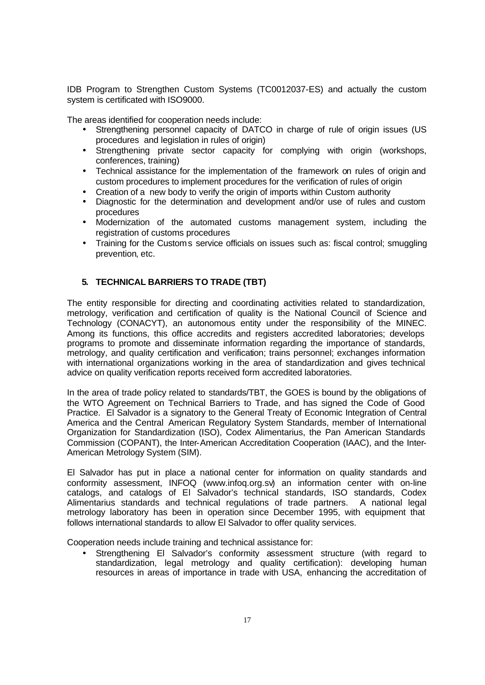IDB Program to Strengthen Custom Systems (TC0012037-ES) and actually the custom system is certificated with ISO9000.

The areas identified for cooperation needs include:

- Strengthening personnel capacity of DATCO in charge of rule of origin issues (US procedures and legislation in rules of origin)
- Strengthening private sector capacity for complying with origin (workshops, conferences, training)
- Technical assistance for the implementation of the framework on rules of origin and custom procedures to implement procedures for the verification of rules of origin
- Creation of a new body to verify the origin of imports within Custom authority
- Diagnostic for the determination and development and/or use of rules and custom procedures
- Modernization of the automated customs management system, including the registration of customs procedures
- Training for the Customs service officials on issues such as: fiscal control; smuggling prevention, etc.

## **5. TECHNICAL BARRIERS TO TRADE (TBT)**

The entity responsible for directing and coordinating activities related to standardization, metrology, verification and certification of quality is the National Council of Science and Technology (CONACYT), an autonomous entity under the responsibility of the MINEC. Among its functions, this office accredits and registers accredited laboratories; develops programs to promote and disseminate information regarding the importance of standards, metrology, and quality certification and verification; trains personnel; exchanges information with international organizations working in the area of standardization and gives technical advice on quality verification reports received form accredited laboratories.

In the area of trade policy related to standards/TBT, the GOES is bound by the obligations of the WTO Agreement on Technical Barriers to Trade, and has signed the Code of Good Practice. El Salvador is a signatory to the General Treaty of Economic Integration of Central America and the Central American Regulatory System Standards, member of International Organization for Standardization (ISO), Codex Alimentarius, the Pan American Standards Commission (COPANT), the Inter-American Accreditation Cooperation (IAAC), and the Inter-American Metrology System (SIM).

El Salvador has put in place a national center for information on quality standards and conformity assessment, INFOQ (www.infoq.org.sv) an information center with on-line catalogs, and catalogs of El Salvador's technical standards, ISO standards, Codex Alimentarius standards and technical regulations of trade partners. A national legal metrology laboratory has been in operation since December 1995, with equipment that follows international standards to allow El Salvador to offer quality services.

Cooperation needs include training and technical assistance for:

• Strengthening El Salvador's conformity assessment structure (with regard to standardization, legal metrology and quality certification): developing human resources in areas of importance in trade with USA, enhancing the accreditation of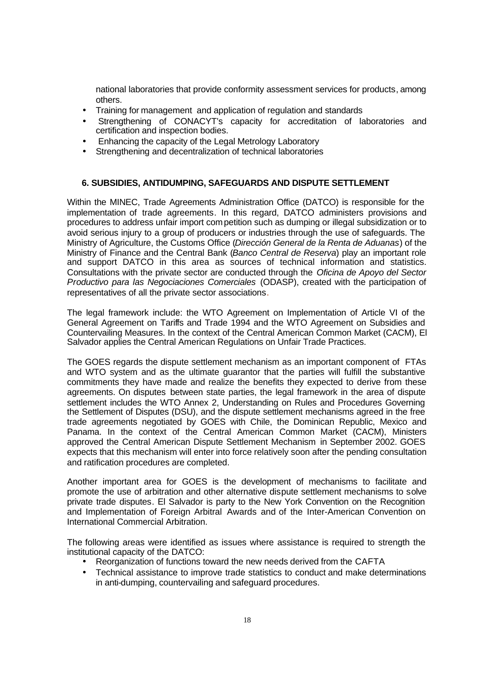national laboratories that provide conformity assessment services for products, among others.

- Training for management and application of regulation and standards
- Strengthening of CONACYT's capacity for accreditation of laboratories and certification and inspection bodies.
- Enhancing the capacity of the Legal Metrology Laboratory
- Strengthening and decentralization of technical laboratories

#### **6. SUBSIDIES, ANTIDUMPING, SAFEGUARDS AND DISPUTE SETTLEMENT**

Within the MINEC, Trade Agreements Administration Office (DATCO) is responsible for the implementation of trade agreements. In this regard, DATCO administers provisions and procedures to address unfair import competition such as dumping or illegal subsidization or to avoid serious injury to a group of producers or industries through the use of safeguards. The Ministry of Agriculture, the Customs Office (*Dirección General de la Renta de Aduanas*) of the Ministry of Finance and the Central Bank (*Banco Central de Reserva*) play an important role and support DATCO in this area as sources of technical information and statistics. Consultations with the private sector are conducted through the *Oficina de Apoyo del Sector Productivo para las Negociaciones Comerciales* (ODASP), created with the participation of representatives of all the private sector associations.

The legal framework include: the WTO Agreement on Implementation of Article VI of the General Agreement on Tariffs and Trade 1994 and the WTO Agreement on Subsidies and Countervailing Measures. In the context of the Central American Common Market (CACM), El Salvador applies the Central American Regulations on Unfair Trade Practices.

The GOES regards the dispute settlement mechanism as an important component of FTAs and WTO system and as the ultimate guarantor that the parties will fulfill the substantive commitments they have made and realize the benefits they expected to derive from these agreements. On disputes between state parties, the legal framework in the area of dispute settlement includes the WTO Annex 2, Understanding on Rules and Procedures Governing the Settlement of Disputes (DSU), and the dispute settlement mechanisms agreed in the free trade agreements negotiated by GOES with Chile, the Dominican Republic, Mexico and Panama. In the context of the Central American Common Market (CACM), Ministers approved the Central American Dispute Settlement Mechanism in September 2002. GOES expects that this mechanism will enter into force relatively soon after the pending consultation and ratification procedures are completed.

Another important area for GOES is the development of mechanisms to facilitate and promote the use of arbitration and other alternative dispute settlement mechanisms to solve private trade disputes. El Salvador is party to the New York Convention on the Recognition and Implementation of Foreign Arbitral Awards and of the Inter-American Convention on International Commercial Arbitration.

The following areas were identified as issues where assistance is required to strength the institutional capacity of the DATCO:

- Reorganization of functions toward the new needs derived from the CAFTA
- Technical assistance to improve trade statistics to conduct and make determinations in anti-dumping, countervailing and safeguard procedures.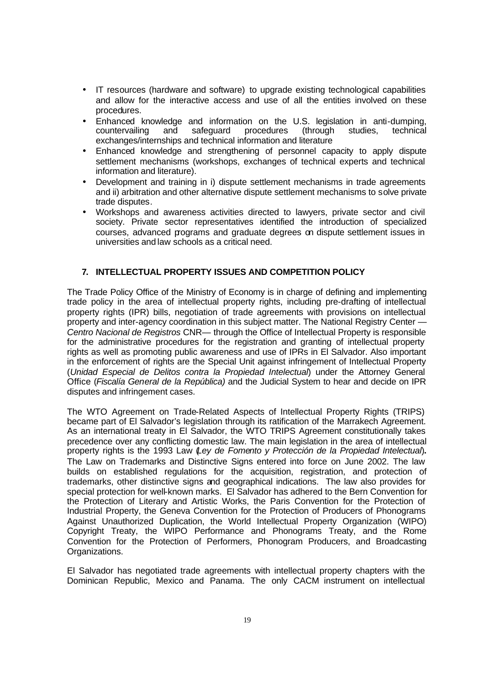- IT resources (hardware and software) to upgrade existing technological capabilities and allow for the interactive access and use of all the entities involved on these procedures.
- Enhanced knowledge and information on the U.S. legislation in anti-dumping, countervailing and safeguard procedures (through studies, technical exchanges/internships and technical information and literature
- Enhanced knowledge and strengthening of personnel capacity to apply dispute settlement mechanisms (workshops, exchanges of technical experts and technical information and literature).
- Development and training in i) dispute settlement mechanisms in trade agreements and ii) arbitration and other alternative dispute settlement mechanisms to solve private trade disputes.
- Workshops and awareness activities directed to lawyers, private sector and civil society. Private sector representatives identified the introduction of specialized courses, advanced programs and graduate degrees on dispute settlement issues in universities and law schools as a critical need.

## **7. INTELLECTUAL PROPERTY ISSUES AND COMPETITION POLICY**

The Trade Policy Office of the Ministry of Economy is in charge of defining and implementing trade policy in the area of intellectual property rights, including pre-drafting of intellectual property rights (IPR) bills, negotiation of trade agreements with provisions on intellectual property and inter-agency coordination in this subject matter. The National Registry Center — *Centro Nacional de Registros* CNR— through the Office of Intellectual Property is responsible for the administrative procedures for the registration and granting of intellectual property rights as well as promoting public awareness and use of IPRs in El Salvador. Also important in the enforcement of rights are the Special Unit against infringement of Intellectual Property (*Unidad Especial de Delitos contra la Propiedad Intelectual*) under the Attorney General Office (*Fiscalía General de la República)* and the Judicial System to hear and decide on IPR disputes and infringement cases.

The WTO Agreement on Trade-Related Aspects of Intellectual Property Rights (TRIPS) became part of El Salvador's legislation through its ratification of the Marrakech Agreement. As an international treaty in El Salvador, the WTO TRIPS Agreement constitutionally takes precedence over any conflicting domestic law. The main legislation in the area of intellectual property rights is the 1993 Law (*Ley de Fomento y Protección de la Propiedad Intelectual*)**.**  The Law on Trademarks and Distinctive Signs entered into force on June 2002. The law builds on established regulations for the acquisition, registration, and protection of trademarks, other distinctive signs and geographical indications. The law also provides for special protection for well-known marks. El Salvador has adhered to the Bern Convention for the Protection of Literary and Artistic Works, the Paris Convention for the Protection of Industrial Property, the Geneva Convention for the Protection of Producers of Phonograms Against Unauthorized Duplication, the World Intellectual Property Organization (WIPO) Copyright Treaty, the WIPO Performance and Phonograms Treaty, and the Rome Convention for the Protection of Performers, Phonogram Producers, and Broadcasting Organizations.

El Salvador has negotiated trade agreements with intellectual property chapters with the Dominican Republic, Mexico and Panama. The only CACM instrument on intellectual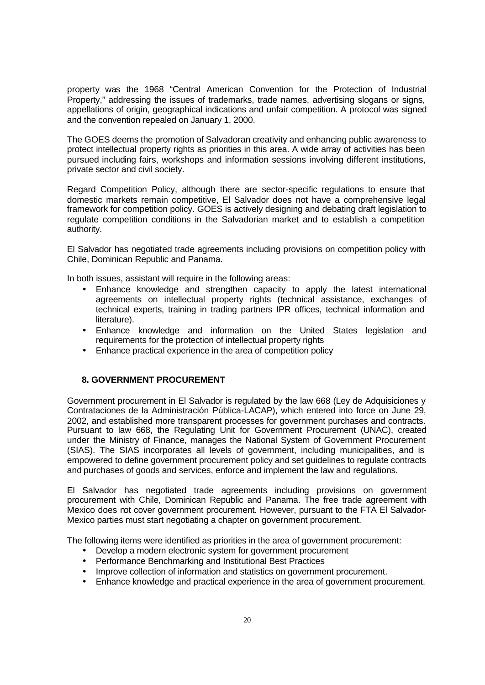property was the 1968 "Central American Convention for the Protection of Industrial Property," addressing the issues of trademarks, trade names, advertising slogans or signs, appellations of origin, geographical indications and unfair competition. A protocol was signed and the convention repealed on January 1, 2000.

The GOES deems the promotion of Salvadoran creativity and enhancing public awareness to protect intellectual property rights as priorities in this area. A wide array of activities has been pursued including fairs, workshops and information sessions involving different institutions, private sector and civil society.

Regard Competition Policy, although there are sector-specific regulations to ensure that domestic markets remain competitive, El Salvador does not have a comprehensive legal framework for competition policy. GOES is actively designing and debating draft legislation to regulate competition conditions in the Salvadorian market and to establish a competition authority.

El Salvador has negotiated trade agreements including provisions on competition policy with Chile, Dominican Republic and Panama.

In both issues, assistant will require in the following areas:

- Enhance knowledge and strengthen capacity to apply the latest international agreements on intellectual property rights (technical assistance, exchanges of technical experts, training in trading partners IPR offices, technical information and literature).
- Enhance knowledge and information on the United States legislation and requirements for the protection of intellectual property rights
- Enhance practical experience in the area of competition policy

#### **8. GOVERNMENT PROCUREMENT**

Government procurement in El Salvador is regulated by the law 668 (Ley de Adquisiciones y Contrataciones de la Administración Pública-LACAP), which entered into force on June 29, 2002, and established more transparent processes for government purchases and contracts. Pursuant to law 668, the Regulating Unit for Government Procurement (UNAC), created under the Ministry of Finance, manages the National System of Government Procurement (SIAS). The SIAS incorporates all levels of government, including municipalities, and is empowered to define government procurement policy and set guidelines to regulate contracts and purchases of goods and services, enforce and implement the law and regulations.

El Salvador has negotiated trade agreements including provisions on government procurement with Chile, Dominican Republic and Panama. The free trade agreement with Mexico does not cover government procurement. However, pursuant to the FTA El Salvador-Mexico parties must start negotiating a chapter on government procurement.

The following items were identified as priorities in the area of government procurement:

- Develop a modern electronic system for government procurement
- Performance Benchmarking and Institutional Best Practices
- Improve collection of information and statistics on government procurement.
- Enhance knowledge and practical experience in the area of government procurement.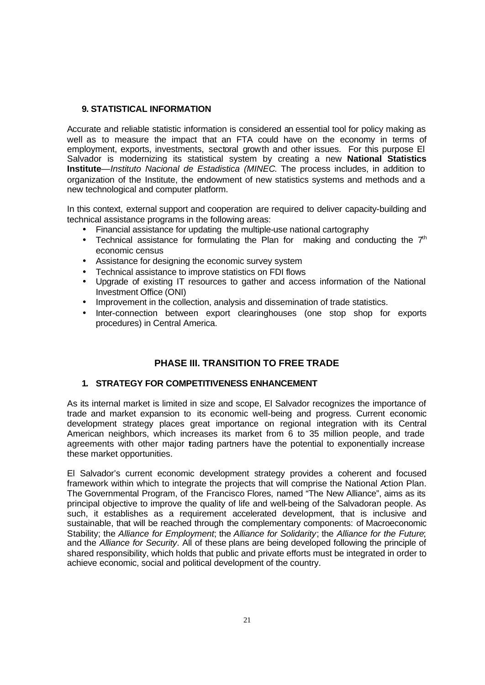#### **9. STATISTICAL INFORMATION**

Accurate and reliable statistic information is considered an essential tool for policy making as well as to measure the impact that an FTA could have on the economy in terms of employment, exports, investments, sectoral growth and other issues. For this purpose El Salvador is modernizing its statistical system by creating a new **National Statistics Institute**—*Instituto Nacional de Estadistica (MINEC*. The process includes, in addition to organization of the Institute, the endowment of new statistics systems and methods and a new technological and computer platform.

In this context, external support and cooperation are required to deliver capacity-building and technical assistance programs in the following areas:

- Financial assistance for updating the multiple-use national cartography
- Technical assistance for formulating the Plan for making and conducting the  $7<sup>th</sup>$ economic census
- Assistance for designing the economic survey system
- Technical assistance to improve statistics on FDI flows
- Upgrade of existing IT resources to gather and access information of the National Investment Office (ONI)
- Improvement in the collection, analysis and dissemination of trade statistics.
- Inter-connection between export clearinghouses (one stop shop for exports procedures) in Central America.

# **PHASE III. TRANSITION TO FREE TRADE**

#### **1. STRATEGY FOR COMPETITIVENESS ENHANCEMENT**

As its internal market is limited in size and scope, El Salvador recognizes the importance of trade and market expansion to its economic well-being and progress. Current economic development strategy places great importance on regional integration with its Central American neighbors, which increases its market from 6 to 35 million people, and trade agreements with other major tading partners have the potential to exponentially increase these market opportunities.

El Salvador's current economic development strategy provides a coherent and focused framework within which to integrate the projects that will comprise the National Action Plan. The Governmental Program, of the Francisco Flores, named "The New Alliance", aims as its principal objective to improve the quality of life and well-being of the Salvadoran people. As such, it establishes as a requirement accelerated development, that is inclusive and sustainable, that will be reached through the complementary components: of Macroeconomic Stability; the *Alliance for Employment*; the *Alliance for Solidarity*; the *Alliance for the Future*; and the *Alliance for Security*. All of these plans are being developed following the principle of shared responsibility, which holds that public and private efforts must be integrated in order to achieve economic, social and political development of the country.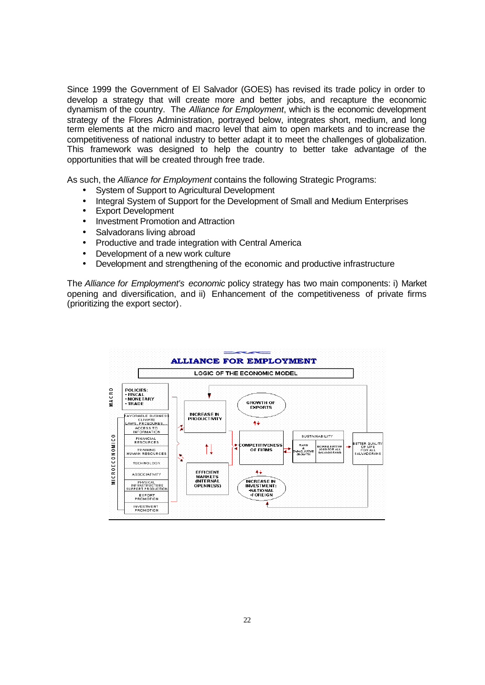Since 1999 the Government of El Salvador (GOES) has revised its trade policy in order to develop a strategy that will create more and better jobs, and recapture the economic dynamism of the country. The *Alliance for Employment*, which is the economic development strategy of the Flores Administration, portrayed below, integrates short, medium, and long term elements at the micro and macro level that aim to open markets and to increase the competitiveness of national industry to better adapt it to meet the challenges of globalization. This framework was designed to help the country to better take advantage of the opportunities that will be created through free trade.

As such, the *Alliance for Employment* contains the following Strategic Programs:

- System of Support to Agricultural Development
- Integral System of Support for the Development of Small and Medium Enterprises
- Export Development
- Investment Promotion and Attraction
- Salvadorans living abroad
- Productive and trade integration with Central America
- Development of a new work culture
- Development and strengthening of the economic and productive infrastructure

The *Alliance for Employment's economic* policy strategy has two main components: i) Market opening and diversification, and ii) Enhancement of the competitiveness of private firms (prioritizing the export sector).

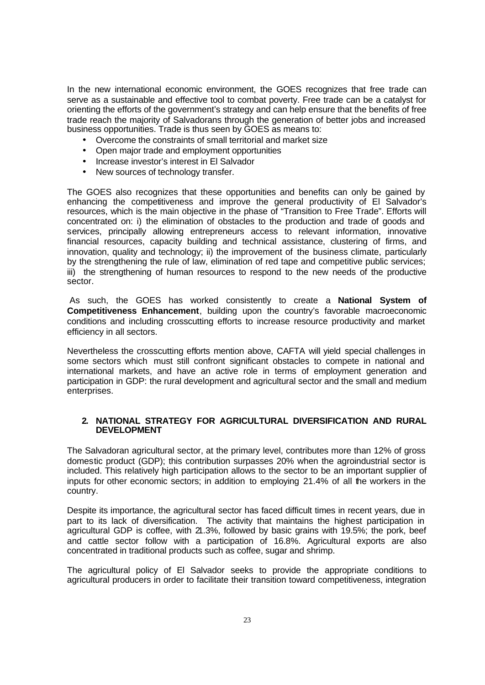In the new international economic environment, the GOES recognizes that free trade can serve as a sustainable and effective tool to combat poverty. Free trade can be a catalyst for orienting the efforts of the government's strategy and can help ensure that the benefits of free trade reach the majority of Salvadorans through the generation of better jobs and increased business opportunities. Trade is thus seen by GOES as means to:

- Overcome the constraints of small territorial and market size
- Open major trade and employment opportunities
- Increase investor's interest in El Salvador
- New sources of technology transfer.

The GOES also recognizes that these opportunities and benefits can only be gained by enhancing the competitiveness and improve the general productivity of El Salvador's resources, which is the main objective in the phase of "Transition to Free Trade". Efforts will concentrated on: i) the elimination of obstacles to the production and trade of goods and services, principally allowing entrepreneurs access to relevant information, innovative financial resources, capacity building and technical assistance, clustering of firms, and innovation, quality and technology; ii) the improvement of the business climate, particularly by the strengthening the rule of law, elimination of red tape and competitive public services; iii) the strengthening of human resources to respond to the new needs of the productive sector.

 As such, the GOES has worked consistently to create a **National System of Competitiveness Enhancement**, building upon the country's favorable macroeconomic conditions and including crosscutting efforts to increase resource productivity and market efficiency in all sectors.

Nevertheless the crosscutting efforts mention above, CAFTA will yield special challenges in some sectors which must still confront significant obstacles to compete in national and international markets, and have an active role in terms of employment generation and participation in GDP: the rural development and agricultural sector and the small and medium enterprises.

#### **2. NATIONAL STRATEGY FOR AGRICULTURAL DIVERSIFICATION AND RURAL DEVELOPMENT**

The Salvadoran agricultural sector, at the primary level, contributes more than 12% of gross domestic product (GDP); this contribution surpasses 20% when the agroindustrial sector is included. This relatively high participation allows to the sector to be an important supplier of inputs for other economic sectors; in addition to employing 21.4% of all the workers in the country.

Despite its importance, the agricultural sector has faced difficult times in recent years, due in part to its lack of diversification. The activity that maintains the highest participation in agricultural GDP is coffee, with 21.3%, followed by basic grains with 19.5%; the pork, beef and cattle sector follow with a participation of 16.8%. Agricultural exports are also concentrated in traditional products such as coffee, sugar and shrimp.

The agricultural policy of El Salvador seeks to provide the appropriate conditions to agricultural producers in order to facilitate their transition toward competitiveness, integration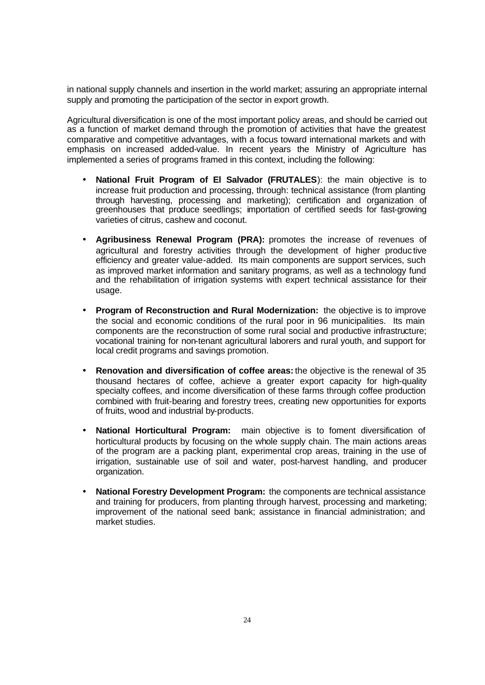in national supply channels and insertion in the world market; assuring an appropriate internal supply and promoting the participation of the sector in export growth.

Agricultural diversification is one of the most important policy areas, and should be carried out as a function of market demand through the promotion of activities that have the greatest comparative and competitive advantages, with a focus toward international markets and with emphasis on increased added-value. In recent years the Ministry of Agriculture has implemented a series of programs framed in this context, including the following:

- **National Fruit Program of El Salvador (FRUTALES**): the main objective is to increase fruit production and processing, through: technical assistance (from planting through harvesting, processing and marketing); certification and organization of greenhouses that produce seedlings; importation of certified seeds for fast-growing varieties of citrus, cashew and coconut.
- **Agribusiness Renewal Program (PRA):** promotes the increase of revenues of agricultural and forestry activities through the development of higher produc tive efficiency and greater value-added. Its main components are support services, such as improved market information and sanitary programs, as well as a technology fund and the rehabilitation of irrigation systems with expert technical assistance for their usage.
- **Program of Reconstruction and Rural Modernization:** the objective is to improve the social and economic conditions of the rural poor in 96 municipalities. Its main components are the reconstruction of some rural social and productive infrastructure; vocational training for non-tenant agricultural laborers and rural youth, and support for local credit programs and savings promotion.
- **Renovation and diversification of coffee areas:** the objective is the renewal of 35 thousand hectares of coffee, achieve a greater export capacity for high-quality specialty coffees, and income diversification of these farms through coffee production combined with fruit-bearing and forestry trees, creating new opportunities for exports of fruits, wood and industrial by-products.
- **National Horticultural Program:** main objective is to foment diversification of horticultural products by focusing on the whole supply chain. The main actions areas of the program are a packing plant, experimental crop areas, training in the use of irrigation, sustainable use of soil and water, post-harvest handling, and producer organization.
- **National Forestry Development Program:** the components are technical assistance and training for producers, from planting through harvest, processing and marketing; improvement of the national seed bank; assistance in financial administration; and market studies.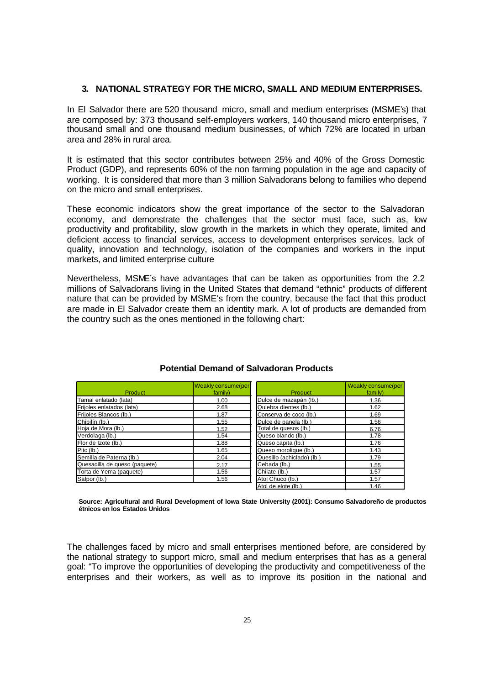#### **3. NATIONAL STRATEGY FOR THE MICRO, SMALL AND MEDIUM ENTERPRISES.**

In El Salvador there are 520 thousand micro, small and medium enterprises (MSME's) that are composed by: 373 thousand self-employers workers, 140 thousand micro enterprises, 7 thousand small and one thousand medium businesses, of which 72% are located in urban area and 28% in rural area.

It is estimated that this sector contributes between 25% and 40% of the Gross Domestic Product (GDP), and represents 60% of the non farming population in the age and capacity of working. It is considered that more than 3 million Salvadorans belong to families who depend on the micro and small enterprises.

These economic indicators show the great importance of the sector to the Salvadoran economy, and demonstrate the challenges that the sector must face, such as, low productivity and profitability, slow growth in the markets in which they operate, limited and deficient access to financial services, access to development enterprises services, lack of quality, innovation and technology, isolation of the companies and workers in the input markets, and limited enterprise culture

Nevertheless, MSME's have advantages that can be taken as opportunities from the 2.2 millions of Salvadorans living in the United States that demand "ethnic" products of different nature that can be provided by MSME's from the country, because the fact that this product are made in El Salvador create them an identity mark. A lot of products are demanded from the country such as the ones mentioned in the following chart:

|                               | <b>Weakly consume(per</b> |                            | <b>Weakly consume(per</b> |
|-------------------------------|---------------------------|----------------------------|---------------------------|
| Product                       | family)                   | Product                    | family)                   |
| Tamal enlatado (lata)         | 1.00                      | Dulce de mazapán (lb.)     | 1.36                      |
| Frijoles enlatados (lata)     | 2.68                      | Quiebra dientes (lb.)      | 1.62                      |
| Frijoles Blancos (lb.)        | 1.87                      | Conserva de coco (lb.)     | 1.69                      |
| Chipilín (lb.)                | 1.55                      | Dulce de panela (lb.)      | 1.56                      |
| Hoja de Mora (lb.)            | 1.52                      | Total de quesos (lb.)      | 6.76                      |
| Verdolaga (lb.)               | 1.54                      | Queso blando (lb.)         | 1.78                      |
| Flor de Izote (lb.)           | 1.88                      | Queso capita (lb.)         | 1.76                      |
| Pito (lb.)                    | 1.65                      | Queso morolique (lb.)      | 1.43                      |
| Semilla de Paterna (lb.)      | 2.04                      | Quesillo (achiclado) (lb.) | 1.79                      |
| Quesadilla de queso (paquete) | 2.17                      | Cebada (lb.)               | 1.55                      |
| Torta de Yema (paquete)       | 1.56                      | Chilate (lb.)              | 1.57                      |
| Salpor (lb.)                  | 1.56                      | Atol Chuco (lb.)           | 1.57                      |
|                               |                           | Atol de elote (lb.)        | 1.46                      |

#### **Potential Demand of Salvadoran Products**

**Source: Agricultural and Rural Development of Iowa State University (2001): Consumo Salvadoreño de productos étnicos en los Estados Unidos**

The challenges faced by micro and small enterprises mentioned before, are considered by the national strategy to support micro, small and medium enterprises that has as a general goal: "To improve the opportunities of developing the productivity and competitiveness of the enterprises and their workers, as well as to improve its position in the national and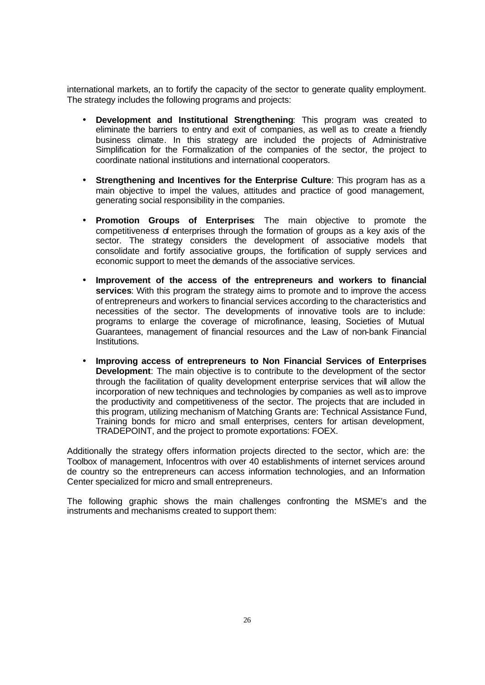international markets, an to fortify the capacity of the sector to generate quality employment. The strategy includes the following programs and projects:

- **Development and Institutional Strengthening**: This program was created to eliminate the barriers to entry and exit of companies, as well as to create a friendly business climate. In this strategy are included the projects of Administrative Simplification for the Formalization of the companies of the sector, the project to coordinate national institutions and international cooperators.
- **Strengthening and Incentives for the Enterprise Culture**: This program has as a main objective to impel the values, attitudes and practice of good management, generating social responsibility in the companies.
- **Promotion Groups of Enterprises**: The main objective to promote the competitiveness of enterprises through the formation of groups as a key axis of the sector. The strategy considers the development of associative models that consolidate and fortify associative groups, the fortification of supply services and economic support to meet the demands of the associative services.
- **Improvement of the access of the entrepreneurs and workers to financial services**: With this program the strategy aims to promote and to improve the access of entrepreneurs and workers to financial services according to the characteristics and necessities of the sector. The developments of innovative tools are to include: programs to enlarge the coverage of microfinance, leasing, Societies of Mutual Guarantees, management of financial resources and the Law of non-bank Financial Institutions.
- **Improving access of entrepreneurs to Non Financial Services of Enterprises Development**: The main objective is to contribute to the development of the sector through the facilitation of quality development enterprise services that will allow the incorporation of new techniques and technologies by companies as well as to improve the productivity and competitiveness of the sector. The projects that are included in this program, utilizing mechanism of Matching Grants are: Technical Assistance Fund, Training bonds for micro and small enterprises, centers for artisan development, TRADEPOINT, and the project to promote exportations: FOEX.

Additionally the strategy offers information projects directed to the sector, which are: the Toolbox of management, Infocentros with over 40 establishments of internet services around de country so the entrepreneurs can access information technologies, and an Information Center specialized for micro and small entrepreneurs.

The following graphic shows the main challenges confronting the MSME's and the instruments and mechanisms created to support them: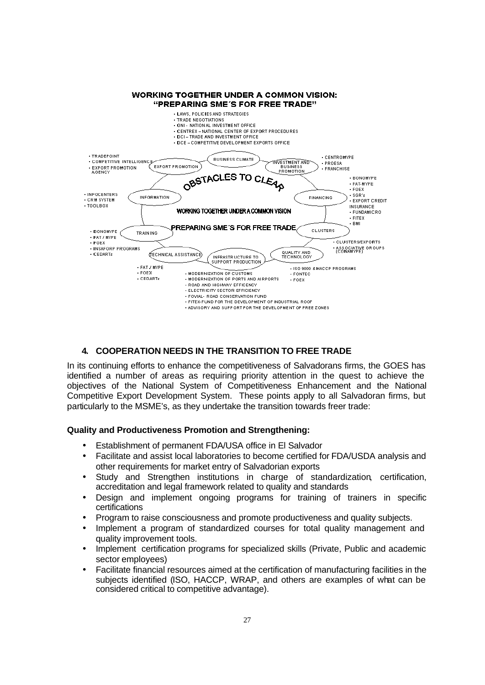

#### **4. COOPERATION NEEDS IN THE TRANSITION TO FREE TRADE**

In its continuing efforts to enhance the competitiveness of Salvadorans firms, the GOES has identified a number of areas as requiring priority attention in the quest to achieve the objectives of the National System of Competitiveness Enhancement and the National Competitive Export Development System. These points apply to all Salvadoran firms, but particularly to the MSME's, as they undertake the transition towards freer trade:

#### **Quality and Productiveness Promotion and Strengthening:**

- Establishment of permanent FDA/USA office in El Salvador
- Facilitate and assist local laboratories to become certified for FDA/USDA analysis and other requirements for market entry of Salvadorian exports
- Study and Strengthen institutions in charge of standardization, certification, accreditation and legal framework related to quality and standards
- Design and implement ongoing programs for training of trainers in specific certifications
- Program to raise consciousness and promote productiveness and quality subjects.
- Implement a program of standardized courses for total quality management and quality improvement tools.
- Implement certification programs for specialized skills (Private, Public and academic sector employees)
- Facilitate financial resources aimed at the certification of manufacturing facilities in the subjects identified (ISO, HACCP, WRAP, and others are examples of what can be considered critical to competitive advantage).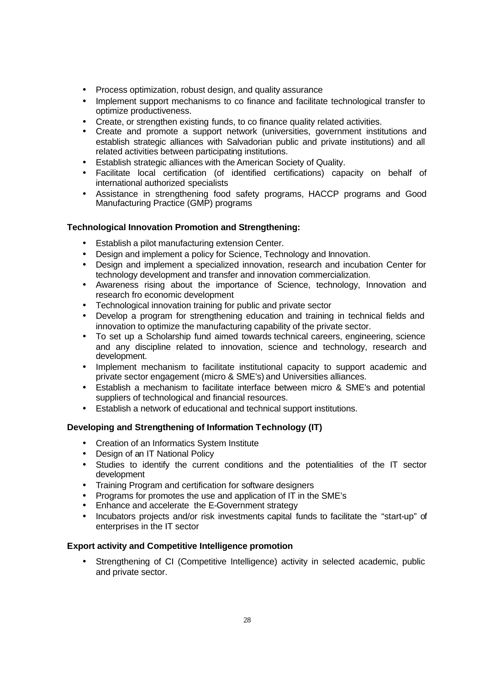- Process optimization, robust design, and quality assurance
- Implement support mechanisms to co finance and facilitate technological transfer to optimize productiveness.
- Create, or strengthen existing funds, to co finance quality related activities.
- Create and promote a support network (universities, government institutions and establish strategic alliances with Salvadorian public and private institutions) and all related activities between participating institutions.
- Establish strategic alliances with the American Society of Quality.
- Facilitate local certification (of identified certifications) capacity on behalf of international authorized specialists
- Assistance in strengthening food safety programs, HACCP programs and Good Manufacturing Practice (GMP) programs

## **Technological Innovation Promotion and Strengthening:**

- Establish a pilot manufacturing extension Center.
- Design and implement a policy for Science, Technology and Innovation.
- Design and implement a specialized innovation, research and incubation Center for technology development and transfer and innovation commercialization.
- Awareness rising about the importance of Science, technology, Innovation and research fro economic development
- Technological innovation training for public and private sector
- Develop a program for strengthening education and training in technical fields and innovation to optimize the manufacturing capability of the private sector.
- To set up a Scholarship fund aimed towards technical careers, engineering, science and any discipline related to innovation, science and technology, research and development.
- Implement mechanism to facilitate institutional capacity to support academic and private sector engagement (micro & SME's) and Universities alliances.
- Establish a mechanism to facilitate interface between micro & SME's and potential suppliers of technological and financial resources.
- Establish a network of educational and technical support institutions.

# **Developing and Strengthening of Information Technology (IT)**

- Creation of an Informatics System Institute
- Design of an IT National Policy
- Studies to identify the current conditions and the potentialities of the IT sector development
- Training Program and certification for software designers
- Programs for promotes the use and application of IT in the SME's
- Enhance and accelerate the E-Government strategy
- Incubators projects and/or risk investments capital funds to facilitate the "start-up" of enterprises in the IT sector

## **Export activity and Competitive Intelligence promotion**

• Strengthening of CI (Competitive Intelligence) activity in selected academic, public and private sector.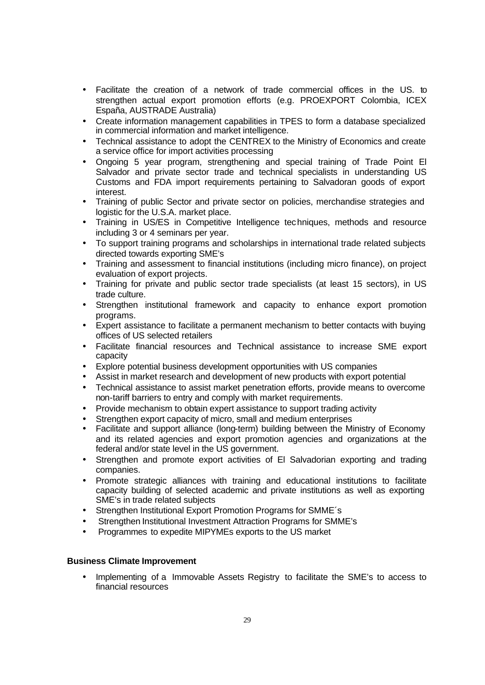- Facilitate the creation of a network of trade commercial offices in the US. to strengthen actual export promotion efforts (e.g. PROEXPORT Colombia, ICEX España, AUSTRADE Australia)
- Create information management capabilities in TPES to form a database specialized in commercial information and market intelligence.
- Technical assistance to adopt the CENTREX to the Ministry of Economics and create a service office for import activities processing
- Ongoing 5 year program, strengthening and special training of Trade Point El Salvador and private sector trade and technical specialists in understanding US Customs and FDA import requirements pertaining to Salvadoran goods of export interest.
- Training of public Sector and private sector on policies, merchandise strategies and logistic for the U.S.A. market place.
- Training in US/ES in Competitive Intelligence techniques, methods and resource including 3 or 4 seminars per year.
- To support training programs and scholarships in international trade related subjects directed towards exporting SME's
- Training and assessment to financial institutions (including micro finance), on project evaluation of export projects.
- Training for private and public sector trade specialists (at least 15 sectors), in US trade culture.
- Strengthen institutional framework and capacity to enhance export promotion programs.
- Expert assistance to facilitate a permanent mechanism to better contacts with buying offices of US selected retailers
- Facilitate financial resources and Technical assistance to increase SME export capacity
- Explore potential business development opportunities with US companies
- Assist in market research and development of new products with export potential
- Technical assistance to assist market penetration efforts, provide means to overcome non-tariff barriers to entry and comply with market requirements.
- Provide mechanism to obtain expert assistance to support trading activity
- Strengthen export capacity of micro, small and medium enterprises
- Facilitate and support alliance (long-term) building between the Ministry of Economy and its related agencies and export promotion agencies and organizations at the federal and/or state level in the US government.
- Strengthen and promote export activities of El Salvadorian exporting and trading companies.
- Promote strategic alliances with training and educational institutions to facilitate capacity building of selected academic and private institutions as well as exporting SME's in trade related subjects
- Strengthen Institutional Export Promotion Programs for SMME's
- Strengthen Institutional Investment Attraction Programs for SMME's
- Programmes to expedite MIPYMEs exports to the US market

#### **Business Climate Improvement**

• Implementing of a Immovable Assets Registry to facilitate the SME's to access to financial resources